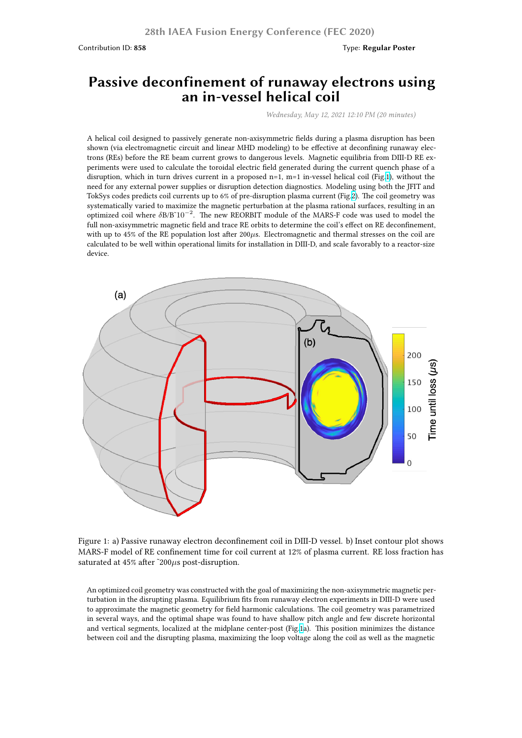## **Passive deconfinement of runaway electrons using an in-vessel helical coil**

*Wednesday, May 12, 2021 12:10 PM (20 minutes)*

A helical coil designed to passively generate non-axisymmetric fields during a plasma disruption has been shown (via electromagnetic circuit and linear MHD modeling) to be effective at deconfining runaway electrons (REs) before the RE beam current grows to dangerous levels. Magnetic equilibria from DIII-D RE experiments were used to calculate the toroidal electric field generated during the current quench phase of a disruption, which in turn drives current in a proposed  $n=1$ ,  $m=1$  in-vessel helical coil (Fig.1), without the need for any external power supplies or disruption detection diagnostics. Modeling using both the JFIT and TokSys codes predicts coil currents up to 6% of pre-disruption plasma current (Fig.2). The coil geometry was systematically varied to maximize the magnetic perturbation at the plasma rational surfaces, resulting in an optimized coil where *δ*B/B˜10*−*<sup>2</sup> . The new REORBIT module of the MARS-F code was used to model the full non-axisymmetric magnetic field and trace RE orbits to determine the coil's effect on RE [d](https://fusion.gat.com/conference/event/104/attachments/161/1551/Weisberg.David.IAEA2020.Fig1.png)econfinement, with up to 45% of the RE population lost after 200 $\mu$ s. Electromagnetic and thermal stresses on the coil are calculated to be well within operational limits for installation in DIII-D, and scale [fa](https://fusion.gat.com/conference/event/104/attachments/161/1552/Weisberg.David.IAEA2020.Fig2.png)vorably to a reactor-size device.



Figure 1: a) Passive runaway electron deconfinement coil in DIII-D vessel. b) Inset contour plot shows MARS-F model of RE confinement time for coil current at 12% of plasma current. RE loss fraction has saturated at 45% after ˜200*µ*s post-disruption.

An optimized coil geometry was constructed with the goal of maximizing the non-axisymmetric magnetic perturbation in the disrupting plasma. Equilibrium fits from runaway electron experiments in DIII-D were used to approximate the magnetic geometry for field harmonic calculations. The coil geometry was parametrized in several ways, and the optimal shape was found to have shallow pitch angle and few discrete horizontal and vertical segments, localized at the midplane center-post (Fig.1a). This position minimizes the distance between coil and the disrupting plasma, maximizing the loop voltage along the coil as well as the magnetic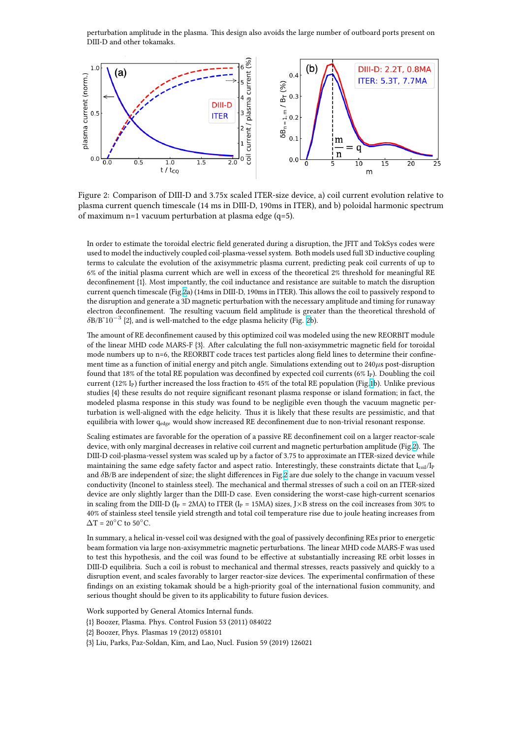



Figure 2: Comparison of DIII-D and 3.75x scaled ITER-size device, a) coil current evolution relative to plasma current quench timescale (14 ms in DIII-D, 190ms in ITER), and b) poloidal harmonic spectrum of maximum n=1 vacuum perturbation at plasma edge (q=5).

In order to estimate the toroidal electric field generated during a disruption, the JFIT and TokSys codes were used to model the inductively coupled coil-plasma-vessel system. Both models used full 3D inductive coupling terms to calculate the evolution of the axisymmetric plasma current, predicting peak coil currents of up to 6% of the initial plasma current which are well in excess of the theoretical 2% threshold for meaningful RE deconfinement {1}. Most importantly, the coil inductance and resistance are suitable to match the disruption current quench timescale (Fig.2a) (14ms in DIII-D, 190ms in ITER). This allows the coil to passively respond to the disruption and generate a 3D magnetic perturbation with the necessary amplitude and timing for runaway electron deconfinement. The resulting vacuum field amplitude is greater than the theoretical threshold of *δ*B/B˜10*−*<sup>3</sup> {2}, and is well-matched to the edge plasma helicity (Fig. 2b).

The amount of RE deconfinem[en](https://fusion.gat.com/conference/event/104/attachments/161/1552/Weisberg.David.IAEA2020.Fig2.png)t caused by this optimized coil was modeled using the new REORBIT module of the linear MHD code MARS-F {3}. After calculating the full non-axisymmetric magnetic field for toroidal mode numbers up to n=6, the REORBIT code traces test particles along field lines to determine their confinement time as a function of initial energy and pitch angle. Simulation[s e](https://fusion.gat.com/conference/event/104/attachments/161/1552/Weisberg.David.IAEA2020.Fig2.png)xtending out to 240*µ*s post-disruption found that 18% of the total RE population was deconfined by expected coil currents (6% IP). Doubling the coil current (12% I<sub>P</sub>) further increased the loss fraction to 45% of the total RE population (Fig.1b). Unlike previous studies {4} these results do not require significant resonant plasma response or island formation; in fact, the modeled plasma response in this study was found to be negligible even though the vacuum magnetic perturbation is well-aligned with the edge helicity. Thus it is likely that these results are pessimistic, and that equilibria with lower q<sub>edge</sub> would show increased RE deconfinement due to non-trivial r[es](https://fusion.gat.com/conference/event/104/attachments/161/1551/Weisberg.David.IAEA2020.Fig1.png)onant response.

Scaling estimates are favorable for the operation of a passive RE deconfinement coil on a larger reactor-scale device, with only marginal decreases in relative coil current and magnetic perturbation amplitude (Fig.2). The DIII-D coil-plasma-vessel system was scaled up by a factor of 3.75 to approximate an ITER-sized device while maintaining the same edge safety factor and aspect ratio. Interestingly, these constraints dictate that  $I_{coil}/I_P$ and *δ*B/B are independent of size; the slight differences in Fig.2 are due solely to the change in vacuum vessel conductivity (Inconel to stainless steel). The mechanical and thermal stresses of such a coil on an ITER-sized device are only slightly larger than the DIII-D case. Even considering the worst-case high-current sc[en](https://fusion.gat.com/conference/event/104/attachments/161/1552/Weisberg.David.IAEA2020.Fig2.png)arios in scaling from the DIII-D ( $I_P = 2MA$ ) to ITER ( $I_P = 15MA$ ) sizes, J×B stress on the coil increases from 30% to 40% of stainless steel tensile yield strength and total coil tem[pe](https://fusion.gat.com/conference/event/104/attachments/161/1552/Weisberg.David.IAEA2020.Fig2.png)rature rise due to joule heating increases from ∆T = 20*◦*C to 50*◦*C.

In summary, a helical in-vessel coil was designed with the goal of passively deconfining REs prior to energetic beam formation via large non-axisymmetric magnetic perturbations. The linear MHD code MARS-F was used to test this hypothesis, and the coil was found to be effective at substantially increasing RE orbit losses in DIII-D equilibria. Such a coil is robust to mechanical and thermal stresses, reacts passively and quickly to a disruption event, and scales favorably to larger reactor-size devices. The experimental confirmation of these findings on an existing tokamak should be a high-priority goal of the international fusion community, and serious thought should be given to its applicability to future fusion devices.

Work supported by General Atomics Internal funds.

- {1} Boozer, Plasma. Phys. Control Fusion 53 (2011) 084022
- {2} Boozer, Phys. Plasmas 19 (2012) 058101

{3} Liu, Parks, Paz-Soldan, Kim, and Lao, Nucl. Fusion 59 (2019) 126021